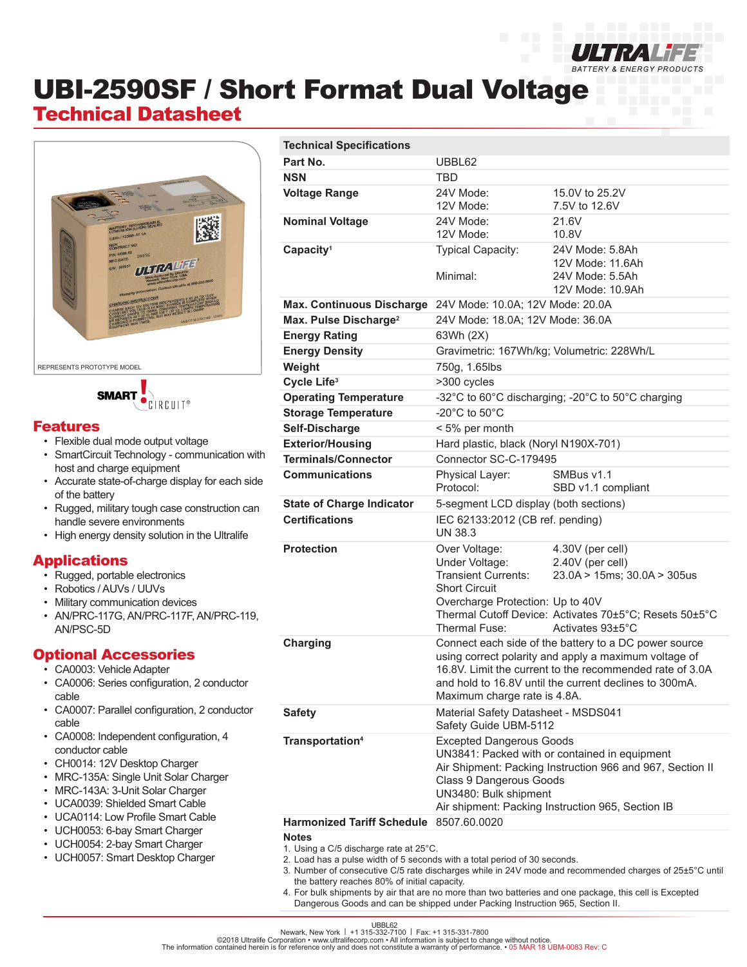

# UBI-2590SF / Short Format Dual Voltage

## Technical Datasheet



**SMART** CIRCUIT®

#### Features

- Flexible dual mode output voltage
- SmartCircuit Technology communication with host and charge equipment
- Accurate state-of-charge display for each side of the battery
- Rugged, military tough case construction can handle severe environments
- High energy density solution in the Ultralife

#### Applications

- Rugged, portable electronics
- Robotics / AUVs / UUVs
- Military communication devices
- AN/PRC-117G, AN/PRC-117F, AN/PRC-119, AN/PSC-5D

#### Optional Accessories

- CA0003: Vehicle Adapter
- CA0006: Series configuration, 2 conductor cable
- CA0007: Parallel configuration, 2 conductor cable
- CA0008: Independent configuration, 4 conductor cable
- CH0014: 12V Desktop Charger
- MRC-135A: Single Unit Solar Charger
- MRC-143A: 3-Unit Solar Charger
- UCA0039: Shielded Smart Cable
- UCA0114: Low Profile Smart Cable
- UCH0053: 6-bay Smart Charger
- UCH0054: 2-bay Smart Charger
- UCH0057: Smart Desktop Charger

| <b>Technical Specifications</b>         |                                                                                                                                                                                                                                                                      |                                                                                                                                                   |
|-----------------------------------------|----------------------------------------------------------------------------------------------------------------------------------------------------------------------------------------------------------------------------------------------------------------------|---------------------------------------------------------------------------------------------------------------------------------------------------|
| Part No.                                | UBBL62                                                                                                                                                                                                                                                               |                                                                                                                                                   |
| <b>NSN</b>                              | TBD                                                                                                                                                                                                                                                                  |                                                                                                                                                   |
| <b>Voltage Range</b>                    | 24V Mode:<br>12V Mode:                                                                                                                                                                                                                                               | 15.0V to 25.2V<br>7.5V to 12.6V                                                                                                                   |
| <b>Nominal Voltage</b>                  | 24V Mode:<br>12V Mode:                                                                                                                                                                                                                                               | 21.6V<br>10.8V                                                                                                                                    |
| Capacity <sup>1</sup>                   | Typical Capacity:<br>Minimal:                                                                                                                                                                                                                                        | 24V Mode: 5.8Ah<br>12V Mode: 11.6Ah<br>24V Mode: 5.5Ah<br>12V Mode: 10.9Ah                                                                        |
| <b>Max. Continuous Discharge</b>        | 24V Mode: 10.0A; 12V Mode: 20.0A                                                                                                                                                                                                                                     |                                                                                                                                                   |
| Max. Pulse Discharge <sup>2</sup>       | 24V Mode: 18.0A; 12V Mode: 36.0A                                                                                                                                                                                                                                     |                                                                                                                                                   |
| <b>Energy Rating</b>                    | 63Wh (2X)                                                                                                                                                                                                                                                            |                                                                                                                                                   |
| <b>Energy Density</b>                   | Gravimetric: 167Wh/kg; Volumetric: 228Wh/L                                                                                                                                                                                                                           |                                                                                                                                                   |
| Weight                                  | 750g, 1.65lbs                                                                                                                                                                                                                                                        |                                                                                                                                                   |
| Cycle Life <sup>3</sup>                 | >300 cycles                                                                                                                                                                                                                                                          |                                                                                                                                                   |
| <b>Operating Temperature</b>            | -32°C to 60°C discharging; -20°C to 50°C charging                                                                                                                                                                                                                    |                                                                                                                                                   |
| <b>Storage Temperature</b>              | -20 $^{\circ}$ C to 50 $^{\circ}$ C                                                                                                                                                                                                                                  |                                                                                                                                                   |
| Self-Discharge                          | < 5% per month                                                                                                                                                                                                                                                       |                                                                                                                                                   |
| <b>Exterior/Housing</b>                 | Hard plastic, black (Noryl N190X-701)                                                                                                                                                                                                                                |                                                                                                                                                   |
| <b>Terminals/Connector</b>              | Connector SC-C-179495                                                                                                                                                                                                                                                |                                                                                                                                                   |
| <b>Communications</b>                   | Physical Layer:                                                                                                                                                                                                                                                      | SMBus v1.1                                                                                                                                        |
|                                         | Protocol:                                                                                                                                                                                                                                                            | SBD v1.1 compliant                                                                                                                                |
| <b>State of Charge Indicator</b>        | 5-segment LCD display (both sections)                                                                                                                                                                                                                                |                                                                                                                                                   |
| <b>Certifications</b>                   | IEC 62133:2012 (CB ref. pending)<br>UN 38.3                                                                                                                                                                                                                          |                                                                                                                                                   |
| <b>Protection</b>                       | Over Voltage:<br>Under Voltage:<br><b>Transient Currents:</b><br><b>Short Circuit</b><br>Overcharge Protection: Up to 40V<br>Thermal Fuse:                                                                                                                           | 4.30V (per cell)<br>2.40V (per cell)<br>23.0A > 15ms; 30.0A > 305us<br>Thermal Cutoff Device: Activates 70±5°C; Resets 50±5°C<br>Activates 93±5°C |
| Charging                                | Connect each side of the battery to a DC power source<br>using correct polarity and apply a maximum voltage of<br>16.8V. Limit the current to the recommended rate of 3.0A<br>and hold to 16.8V until the current declines to 300mA.<br>Maximum charge rate is 4.8A. |                                                                                                                                                   |
| <b>Safety</b>                           | Material Safety Datasheet - MSDS041<br>Safety Guide UBM-5112                                                                                                                                                                                                         |                                                                                                                                                   |
| Transportation <sup>4</sup>             | <b>Excepted Dangerous Goods</b><br>UN3841: Packed with or contained in equipment<br>Air Shipment: Packing Instruction 966 and 967, Section II<br>Class 9 Dangerous Goods<br>UN3480: Bulk shipment<br>Air shipment: Packing Instruction 965, Section IB               |                                                                                                                                                   |
| Harmonized Tariff Schedule 8507.60.0020 |                                                                                                                                                                                                                                                                      |                                                                                                                                                   |
| <b>Notes</b>                            |                                                                                                                                                                                                                                                                      |                                                                                                                                                   |

- 1. Using a C/5 discharge rate at 25°C.
- 2. Load has a pulse width of 5 seconds with a total period of 30 seconds.
- 3. Number of consecutive C/5 rate discharges while in 24V mode and recommended charges of 25±5°C until the battery reaches 80% of initial capacity.
- 4. For bulk shipments by air that are no more than two batteries and one package, this cell is Excepted Dangerous Goods and can be shipped under Packing Instruction 965, Section II.

UBBL62<br>Newark, New York | +1 315-300 | Fax: +1 315-331-7800<br>The information contained herein is for reference only and does not constitute a warranty of performance. • 05 MAR 18 UBM-0083 Rev: C<br>The information contained he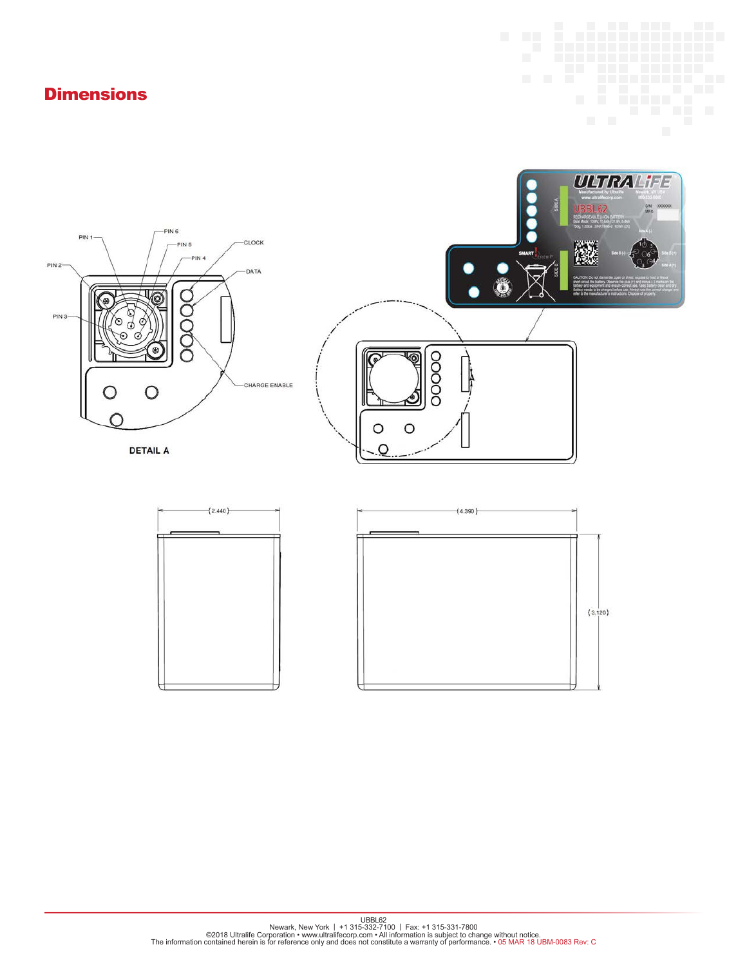### **Dimensions**